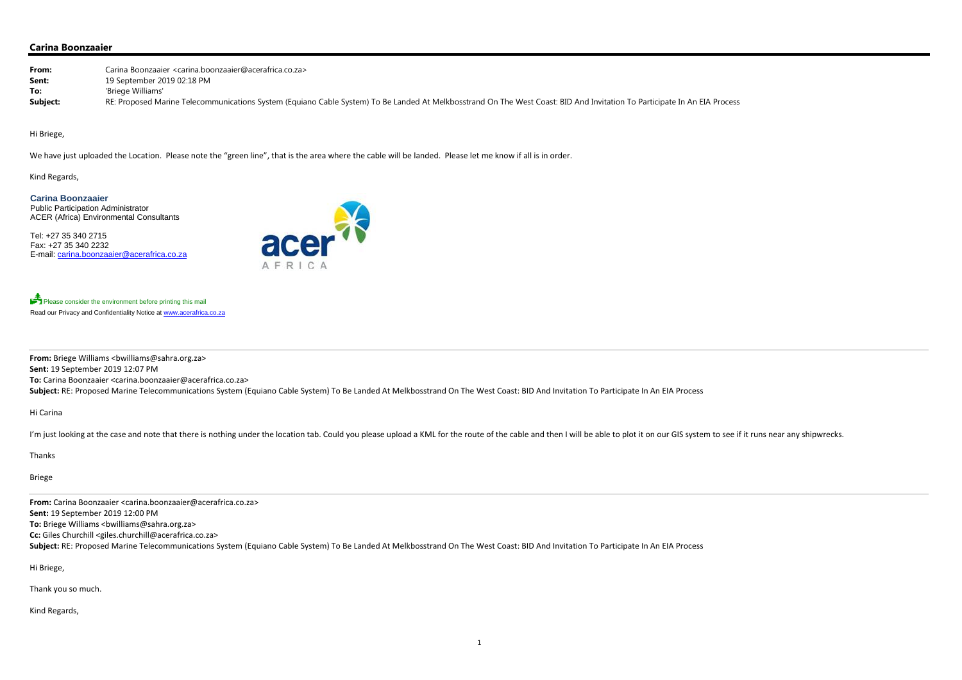# **Carina Boonzaaier**

| From:    | Carina Boonzaaier <carina.boonzaaier@acerafrica.co.za></carina.boonzaaier@acerafrica.co.za>                                                                               |
|----------|---------------------------------------------------------------------------------------------------------------------------------------------------------------------------|
| Sent:    | 19 September 2019 02:18 PM                                                                                                                                                |
| To:      | 'Briege Williams'                                                                                                                                                         |
| Subject: | RE: Proposed Marine Telecommunications System (Equiano Cable System) To Be Landed At Melkbosstrand On The West Coast: BID And Invitation To Participate In An EIA Process |

Hi Briege,

We have just uploaded the Location. Please note the "green line", that is the area where the cable will be landed. Please let me know if all is in order.

**From:** Briege Williams <bwilliams@sahra.org.za> **Sent:** 19 September 2019 12:07 PM **To:** Carina Boonzaaier <carina.boonzaaier@acerafrica.co.za> Subject: RE: Proposed Marine Telecommunications System (Equiano Cable System) To Be Landed At Melkbosstrand On The West Coast: BID And Invitation To Participate In An EIA Process

Kind Regards,

**Carina Boonzaaier**  Public Participation Administrator ACER (Africa) Environmental Consultants

Tel: +27 35 340 2715 Fax: +27 35 340 2232 E-mail: carina.boonzaaier@acerafrica.co.za



Please consider the environment before printing this mail Read our Privacy and Confidentiality Notice at www.acerafrica.co.za

Hi Carina

I'm just looking at the case and note that there is nothing under the location tab. Could you please upload a KML for the route of the cable and then I will be able to plot it on our GIS system to see if it runs near any s

Thanks

Briege

**From:** Carina Boonzaaier <carina.boonzaaier@acerafrica.co.za> **Sent:** 19 September 2019 12:00 PM **To:** Briege Williams <bwilliams@sahra.org.za> **Cc:** Giles Churchill <giles.churchill@acerafrica.co.za>

Subject: RE: Proposed Marine Telecommunications System (Equiano Cable System) To Be Landed At Melkbosstrand On The West Coast: BID And Invitation To Participate In An EIA Process

Hi Briege,

Thank you so much.

Kind Regards,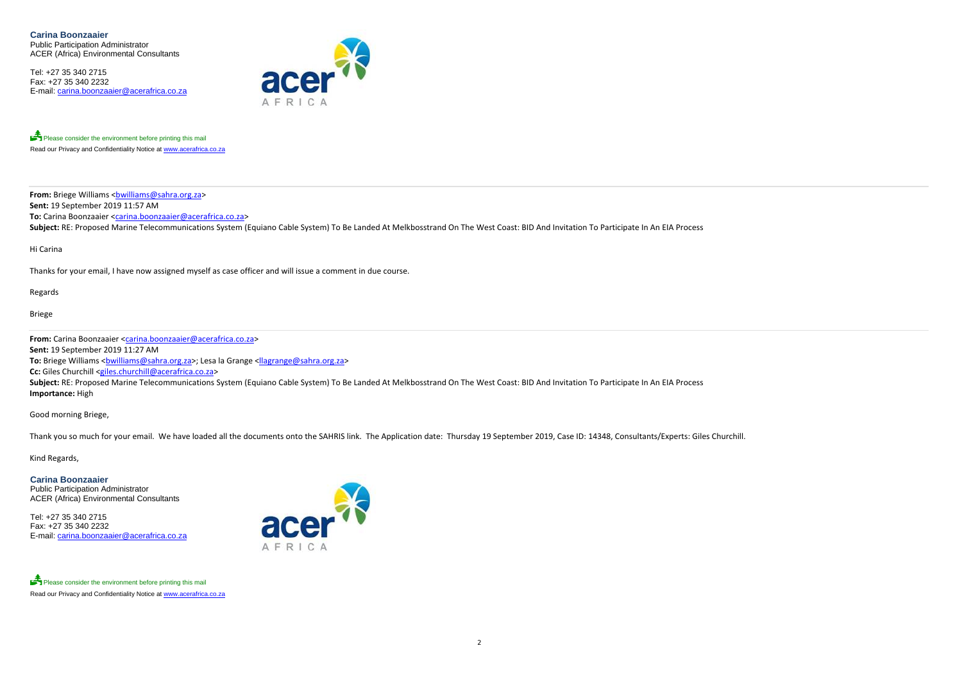**Carina Boonzaaier**  Public Participation Administrator ACER (Africa) Environmental Consultants

Tel: +27 35 340 2715 Fax: +27 35 340 2232 E-mail: carina.boonzaaier@acerafrica.co.za



Please consider the environment before printing this mail Read our Privacy and Confidentiality Notice at www.acerafrica.co.za

**From:** Briege Williams <<u>bwilliams@sahra.org.za</u>> **Sent:** 19 September 2019 11:57 AM **To:** Carina Boonzaaier <carina.boonzaaier@acerafrica.co.za> Subject: RE: Proposed Marine Telecommunications System (Equiano Cable System) To Be Landed At Melkbosstrand On The West Coast: BID And Invitation To Participate In An EIA Process

Hi Carina

Thanks for your email, I have now assigned myself as case officer and will issue <sup>a</sup> comment in due course.

Regards

Briege

**From:** Carina Boonzaaier <carina.boonzaaier@acerafrica.co.za> **Sent:** 19 September 2019 11:27 AM **To:** Briege Williams <<u>bwilliams@sahra.org.za</u>>; Lesa la Grange <<u>llagrange@sahra.org.za</u>> **Cc:** Giles Churchill <giles.churchill@acerafrica.co.za> **Subject:** RE: Proposed Marine Telecommunications System (Equiano Cable System) To Be Landed At Melkbosstrand On The West Coast: BID And Invitation To Participate In An EIA Process **Importance:** High

Good morning Briege,

Thank you so much for your email. We have loaded all the documents onto the SAHRIS link. The Application date: Thursday 19 September 2019, Case ID: 14348, Consultants/Experts: Giles Churchill.

Kind Regards,

**Carina Boonzaaier**  Public Participation Administrator ACER (Africa) Environmental Consultants

Tel: +27 35 340 2715 Fax: +27 35 340 2232 E-mail: carina.boonzaaier@acerafrica.co.za



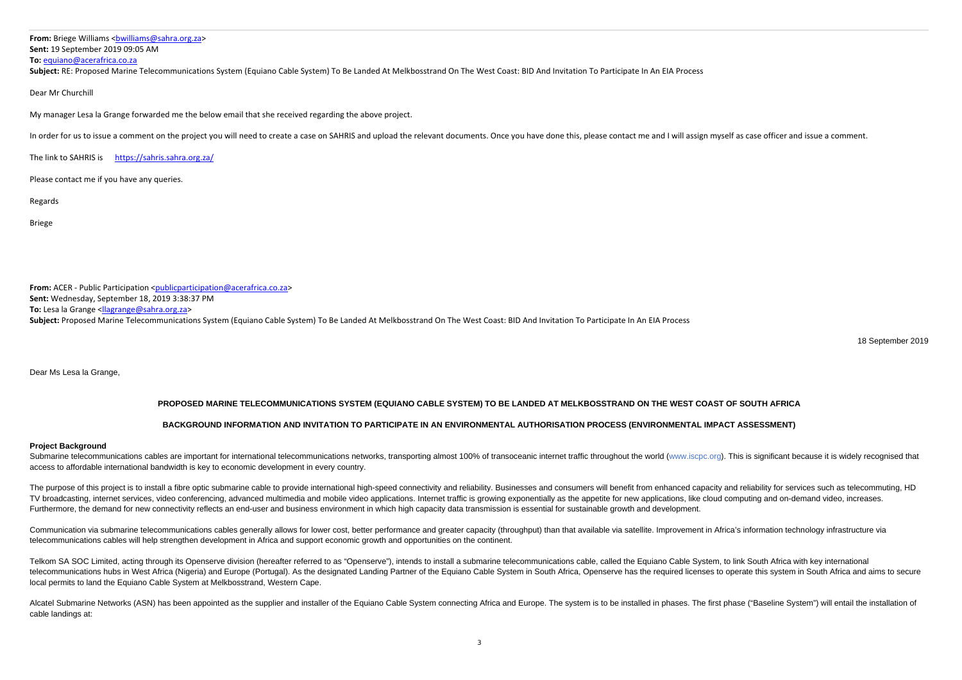**From:** Briege Williams <<u>bwilliams@sahra.org.za</u>> **Sent:** 19 September 2019 09:05 AM **To:** equiano@acerafrica.co.za

**Subject:** RE: Proposed Marine Telecommunications System (Equiano Cable System) To Be Landed At Melkbosstrand On The West Coast: BID And Invitation To Participate In An EIA Process

#### Dear Mr Churchill

My manager Lesa la Grange forwarded me the below email that she received regarding the above project.

In order for us to issue a comment on the project you will need to create a case on SAHRIS and upload the relevant documents. Once you have done this, please contact me and I will assign myself as case officer and issue a

The link to SAHRIS is https://sahris.sahra.org.za/

Please contact me if you have any queries.

Regards

Briege

Submarine telecommunications cables are important for international telecommunications networks, transporting almost 100% of transoceanic internet traffic throughout the world (www.iscpc.org). This is significant because i access to affordable international bandwidth is key to economic development in every country.

The purpose of this project is to install a fibre optic submarine cable to provide international high-speed connectivity and reliability. Businesses and consumers will benefit from enhanced capacity and reliability for ser TV broadcasting, internet services, video conferencing, advanced multimedia and mobile video applications, Internet traffic is growing exponentially as the appetite for new applications, like cloud computing and on-demand Furthermore, the demand for new connectivity reflects an end-user and business environment in which high capacity data transmission is essential for sustainable growth and development.

**From:** ACER ‐ Public Participation <publicparticipation@acerafrica.co.za> **Sent:** Wednesday, September 18, 2019 3:38:37 PM **To:** Lesa la Grange <<u>llagrange@sahra.org.za</u>> **Subject:** Proposed Marine Telecommunications System (Equiano Cable System) To Be Landed At Melkbosstrand On The West Coast: BID And Invitation To Participate In An EIA Process

18 September 2019

Dear Ms Lesa la Grange,

# **PROPOSED MARINE TELECOMMUNICATIONS SYSTEM (EQUIANO CABLE SYSTEM) TO BE LANDED AT MELKBOSSTRAND ON THE WEST COAST OF SOUTH AFRICA**

# **BACKGROUND INFORMATION AND INVITATION TO PARTICIPATE IN AN ENVIRONMENTAL AUTHORISATION PROCESS (ENVIRONMENTAL IMPACT ASSESSMENT)**

Communication via submarine telecommunications cables generally allows for lower cost, better performance and greater capacity (throughput) than that available via satellite, Improvement in Africa's information technology telecommunications cables will help strengthen development in Africa and support economic growth and opportunities on the continent.

#### **Project Background**

Telkom SA SOC Limited, acting through its Openserve division (hereafter referred to as "Openserve"), intends to install a submarine telecommunications cable, called the Equiano Cable System, to link South Africa with key i telecommunications hubs in West Africa (Nigeria) and Europe (Portugal). As the designated Landing Partner of the Equiano Cable System in South Africa, Openserve has the required licenses to operate this system in South Afr local permits to land the Equiano Cable System at Melkbosstrand, Western Cape.

Alcatel Submarine Networks (ASN) has been appointed as the supplier and installer of the Equiano Cable System connecting Africa and Europe. The system is to be installed in phases. The first phase ("Baseline System") will cable landings at: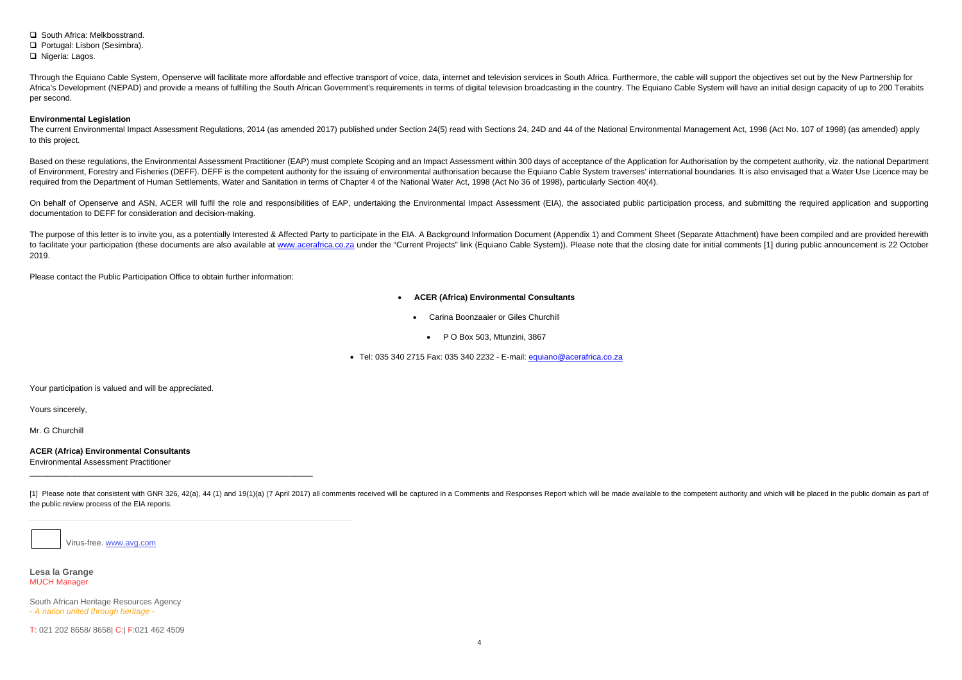**□** South Africa: Melkbosstrand.

Portugal: Lisbon (Sesimbra).

□ Nigeria: Lagos.

Through the Equiano Cable System. Openserve will facilitate more affordable and effective transport of voice, data, internet and television services in South Africa. Furthermore, the cable will support the objectives set o Africa's Development (NEPAD) and provide a means of fulfilling the South African Government's requirements in terms of digital television broadcasting in the country. The Equiano Cable System will have an initial design ca per second.

The current Environmental Impact Assessment Regulations, 2014 (as amended 2017) published under Section 24(5) read with Sections 24, 24D and 44 of the National Environmental Management Act, 1998 (Act No. 107 of 1998) (as a to this project.

Based on these regulations, the Environmental Assessment Practitioner (EAP) must complete Scoping and an Impact Assessment within 300 days of acceptance of the Application for Authorisation by the competent authority, viz. of Environment, Forestry and Fisheries (DEFF). DEFF is the competent authority for the issuing of environmental authorisation because the Equiano Cable System traverses' international boundaries. It is also envisaged that required from the Department of Human Settlements, Water and Sanitation in terms of Chapter 4 of the National Water Act, 1998 (Act No 36 of 1998), particularly Section 40(4).

### **Environmental Legislation**

On behalf of Openserve and ASN, ACER will fulfil the role and responsibilities of EAP, undertaking the Environmental Impact Assessment (EIA), the associated public participation process, and submitting the required applica documentation to DEFF for consideration and decision-making.

The purpose of this letter is to invite you, as a potentially Interested & Affected Party to participate in the EIA. A Background Information Document (Appendix 1) and Comment Sheet (Separate Attachment) have been compiled to facilitate your participation (these documents are also available at www.acerafrica.co.za under the "Current Projects" link (Equiano Cable System)). Please note that the closing date for initial comments [1] during publ 2019.

[1] Please note that consistent with GNR 326, 42(a), 44 (1) and 19(1)(a) (7 April 2017) all comments received will be captured in a Comments and Responses Report which will be made available to the competent authority and the public review process of the EIA reports.

Virus-free. www.avg.com

Please contact the Public Participation Office to obtain further information:

- . **ACER (Africa) Environmental Consultants** 
	- . Carina Boonzaaier or Giles Churchill
		- $\bullet$ P O Box 503, Mtunzini, 3867
- Tel: 035 340 2715 Fax: 035 340 2232 E-mail: <u>equiano@acerafrica.co.za</u>

Your participation is valued and will be appreciated.

Yours sincerely,

Mr. G Churchill

**ACER (Africa) Environmental Consultants**  Environmental Assessment Practitioner

**Lesa la Grange** MUCH Manager

South African Heritage Resources Agency *- A nation united through heritage -*

T: 021 202 8658/ 8658| C:| F:021 462 4509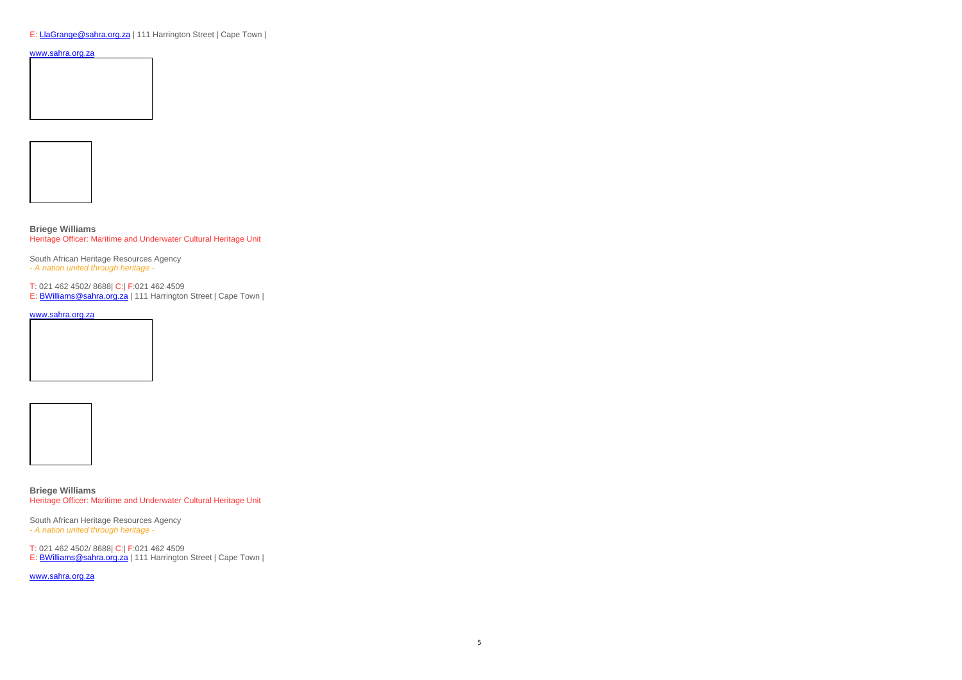E: LlaGrange@sahra.org.za | 111 Harrington Street | Cape Town |

### www.sahra.org.za





**Briege Williams** Heritage Officer: Maritime and Underwater Cultural Heritage Unit

South African Heritage Resources Agency *- A nation united through heritage -*

T: 021 462 4502/ 8688| C:| F:021 462 4509

E: **BWilliams@sahra.org.za** | 111 Harrington Street | Cape Town |

www.sahra.org.za





**Briege Williams** Heritage Officer: Maritime and Underwater Cultural Heritage Unit

South African Heritage Resources Agency *- A nation united through heritage -*

T: 021 462 4502/ 8688| C:| F:021 462 4509

E: BWilliams@sahra.org.za | 111 Harrington Street | Cape Town |

www.sahra.org.za